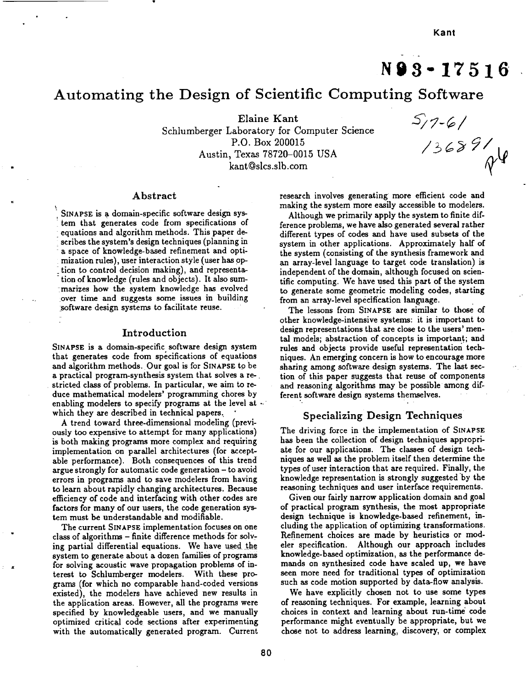# **N93-17516**

# Automating the Design of Scientific Computing Softw

Elaine Kant

Schlumberger Laboratory for Computer Science P.O. Box 200015 Austin, Texas 78720-0015 USA kant@slcs.slb.com

 $5/7 - 6/$  $17 - 61$ <br> $136891$ 

# **Abstract**

SINAPSE is a domain-specific software design sys-:tem that generates code from specifications **of** equations and algorithm methods. This paper describes the **system's** design techniques (planning in a space of knowledge-based refinement and optimization rules), user interaction style (user has oP tion to control decision making), and representation of knowledge (rules and objects). It also summarizes how the **system** knowledge has evolved *:over* time and suggests **some** issues in building software design systems to facilitate reuse.

#### **Introduction**

SINAPSE is a domain-specific **software** design **system** that generates code from **specifications** of equations and algorithm methods. Our goal is for SINAPSE to be a practical program-synthesis system that solves a restricted class of problems. In particular, we aim to **re**duce mathematical modelers' programming chores by enabling modelers to **specify** programs at the level at which they are described in technical papers.

A trend toward three-dimensional modeling (previously too expensive to attempt for many applications) is both making programs more complex and requiring implementation on parallel architectures (for acceptable performance). Both consequences of this trend argue strongly for automatic code **generation** - to avoid errors in programs and to save modelers from having to learn about rapidly changing architectures. Because efficiency of code and interfacing with other codes are factors for many of our users, the code generation **sys**tem must be understandable and modifiable.

The current SINAPSE implementation focuses on one class of algorithms - **finite** difference methods for solving partial differential equations. We have used the **system** to **generate** about a dozen families of programs for solving acoustic wave propagation problems of interest to Schlumberger modelers. With these programs (for which no comparable hand-coded versions existed), the modelers have achieved **new results** in the application areas. **However,** all the programs were specified by knowledgeable users, and we manually optimized critical **code** sections after experimenting with the automatically **generated** program. Current

research involves generating more efficient code and making the system more easily accessible to modelers.

Although we primarily apply the system to finite difference problems, we have also **generated** several rather different types of codes and have used subsets of the system in other applications. Approximately half of the system **(consisting** of the synthesis framework and an array-level language to target code translation) is independent of the domain, **although** focused on **scien**tific computing. We have used this part of the system to **generate** some **geometric** modeling **codes,** starting from an array-level specification language.

The lessons from SINAPSE are similar to those of other knowledge-intensive systems: it is important to design representations that are close to the users' mental models; abstraction of concepts is important; and rules and objects provide useful **representation** techniques. An emerging concern is how to encourage more sharing among software design systems. The last section of this paper **suggests** that reuse of components and reasoning algorithms may be possible among dif**ferent** software **design systems** themselves.

# Specializing Design Techniques

The driving force in the implementation of SINAPSE has been the collection of design techniques appropri**ate** for our applications. The classes of design techniques as well **as** the problem itself then determine the types of user interaction that are required. Finally, the knowledge representation is strongly suggested **"by** the reasoning techniques and user interface requirements.

Given our fairly narrow application domain and **goal** of practical program **synthesis,** the most appropriate design technique is knowledge-based **refinement,** including the application of optimizing **transformations. Refinement** choices are made by heuristics or modeler specification. Although our approach **includes** knowledge-based optimization, as the performance demands **on synthesized** code have **scaled** up, we have seen more need for traditional types of optimization such as code motion supported by data-flow analysis.

We have explicitly chosen not to use some types of reasoning techniques. For example, learning about **choices** in context and learning about run-time **\_** code performance might eventually be **appropriate,** but we chose **not** to **address** learning, discovery, or complex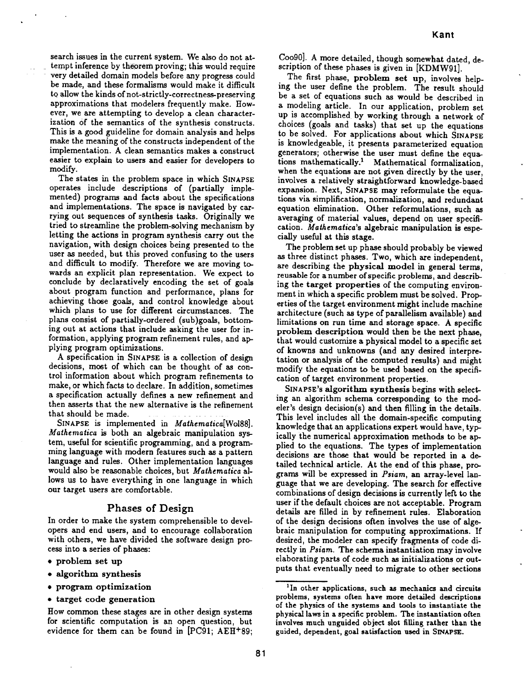searchissues **in the current system. We** also do **not** at**tempt inference by th\_rem proving; this would** require **very detailed** domain models before any progress could be made, and **these formalisms would** make **it difficult to** allow **the kinds** of **not-strictly-correctness-preserving** approximations **that modelers frequently make. However, we** are attempting **to** develop a **clean** character**ization Of the semantics of the synthesis** constructs. **This** is a good **guideline for** domain analysis and **helps** make **the meaning** of **the** constructs independent of **the implementation. A** clean **semantics** makes a **construct easier to explain to users** and **easier for developers to** modify.

**The states in the problem space in which SINAPSE** operates **include** descriptions **of (partially implemented) programs** and **facts** about **the specifications** and **implementations. The** space **is navigated** by car**rying out sequences** of **synthesis tasks. Originally we tried to streamline the problem-solving** mechanism by **letting the actions** in program synthesis **carry out the navigation, with** design choices being **presented to the user as needed,** but **this proved** confusing **to the users** and **difficult to modify. Therefore we are** moving **towards** an **explicit** plan representation. We **expect to** conclude by **declaratively encoding the** set of goals about **program function** and performance, plans **for** achieving those goals, and **control** knowledge about which plans to use for different circumstances. The plans **consist**of partially-ordered**(sub)goals,**bottom**ing** out at actions that **include** asking the user for**in**formation, applying program refinement rules, and applying program optimizations.

A specificationin SINAPSE **is** a **collection**of design decisions,most of which **can** be thought of **as con**trolinformation **about** which program refinements to make, or which **facts**to declare.In **addition,sometimes** a specification actually defines a new refinement and then asserts that the new alternative is the refinement that **should** be **made.**

SINAPSE is implemented in *Mathematica*[Wol88]. *Mathematica* is both an algebraic manipulation system, useful for **scientific** programming, and a **program**ming language **with** modern features such as a pattern language and rules. Other implementation languages **would** also be reasonable choices, but *Malhematica* allows us to have everything in one language in which our target users are **comfortable.**

## Phases of Design

In order to make the system comprehensible to developers **and end** users, and to encourage collaboration with others, **we** have divided the software design pro**cess** into a series of phases:

- \* **problem set up**
- **algorithm synthesis**
- **program optimization**
- **target code generation**

Coo90]. **A** more detailed, though somewhat dated, de**scription** of these phases is given in [KDMW91].

The first phase, problem **set up,** involves helping the user define the problem. The result **should** be a set of equations **such** as would be described in a modeling article. In our application, problem **set** up is accomplished by working through a network of choices (goals and tasks) that **set** up the equations to be solved. For applications about which SINAPSE is knowledgeable, it presents parameterized equation generators; otherwise the user must define the equations mathematically.<sup>1</sup> Mathematical formalization, when the equations are **not** given directly by the user, involves a relatively **straightforward** knowledge-based expansion. Next, SINAPSE may reformulate **the** equations via **simplification,** normalization, and **redundant** equation elimination. Other reformulations, **such** as averaging of material values, depend on user specifi**cation.** *Mathematica's* algebraic manipulation **is** especially useful at this stage.

The problem set up phase should probably be **viewed** as **three** distinct phases. Two, which are independent, are describing **the** physical model in **general** terms, reusable for a number of *specific* problems, and describing **the target** properties of the computing environment in which a specific problem must be solved. Properties of the **target** environment might include machine architecture (such as **type** of parallelism available) and limitations on run **time** and **storage space.** *A* **specific** problem description would **then** be **the next** phase, **that** would customize a physical model **to** a **specific** set of knowns and unknowns (and any desired interpre**tation** or analysis of the computed results) and might modify **the** equations **to** be used based on the specification of **target** environment properties.

SINAPSE'S algorithm **synthesis** begins with selecting an algorithm schema **corresponding** to the modeler's design decision(s) and then filling in the details. This level includes all the domain-specific computing knowledge that an applications expert would have, typ**ically**the numerical approximation methods to be applied to the equations. The types of implementation decisionsare those that **would** be reported **in** a detailed technical article. At the end of this phase, programs will be expressed in *Psiam,* an **array-level** lan**guage that we** are **developing. The search** for **effective** combinations of **design decisions is currently left to the user if the default choices** are **not** acceptable. **Program** details are **filled** in by **refinement rules.** Elaboration of **the** design **decisions often involves the use of** algebraic manipulation **for** computing approximations. **If desired, the modeler** can **specify fragments of** code **directly** in *Psiam.* **The schema instantiation may involve** elaborating **parts** of **code such as** initializations **or out**puts **that eventually need to** migrate **to other sections**

How **common** these stages are in other design systems for scientific computation is an open question, but evidence for them can be found in [PC91; AEH+89;

<sup>1</sup>In other applications, **such as mechanics and circuits problems, systems often have more** detailed descriptions **of the physics of the** systems and **tools to instantiate the physical laws in** a specific **problem. The instantiation often involves much unguided object slot filling rather tha\_a the** guided, **dependent, goal** satisfaction used **in SINAPSE.**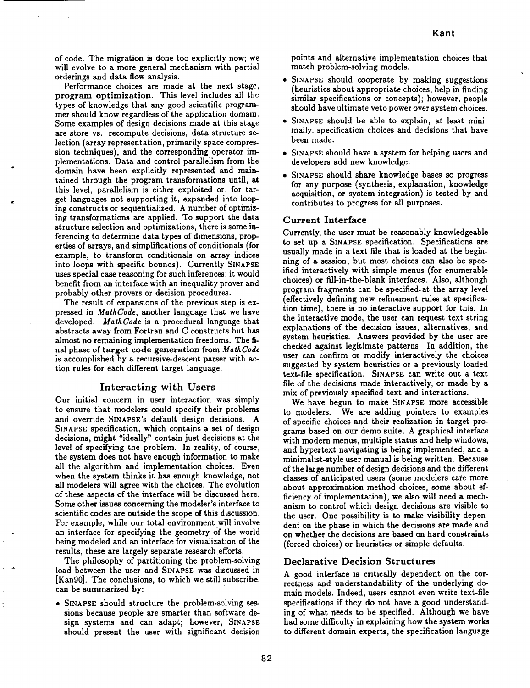of **code.** The migration is done too explicitly now; we will evolve to a more general mechanism with partial orderings and data flow analysis.

Performance choices are made at the next stage, program optimization. This level includes all the types of knowledge that any good scientific programmer should know regardless of the application domain. Some examples of design decisions made at this stage are store vs. recompute decisions, data structure selection (array representation, primarily space compression techniques), and the corresponding operator implementations. Data **and** control parallelism from the domain have been explicitly represented and maintained through the program transformations until, at this level, parallelism is either exploited or, for target languages not supporting it, expanded into looping constructs or sequentialized. A number of optimizing transformations are applied. To support the data structure selection and optimizations, there is **some** inferencing to determine data types of dimensions, properties of arrays, and simplifications of conditionals (for example, to transform conditionals on array indices into loops with specific bounds). Currently SINAPSE uses **special** case reasoning for such inferences; it would benefit from an interface with an inequality prover and probably other provers or decision procedures.

The result of expansions of the previous step is **ex**pressed in *MathCode,* another language that we have developed. *MathCode* is **a** procedural language that abstracts away from Fortran and C constructs but has almost no remaining implementation freedoms. The final phase of target **code** generation from *MathCode* is accomplished by a recursive-descent parser with action rules for each different target language.

## Interacting **with Users**

Our initial concern in user interaction was simply to ensure that modelers could specify their problems and override SINAPSE's default design decisions. A SINAPSE specification, which **contains** a **set** of **design** decisions, might **"ideally"** contain just decisions **at** the level of specifying the problem. In reality, of course, the system does not have enough information to make all the algorithm and implementation choices. Even when the system thinks it has enough knowledge, not all modelers will agree with the choices. The evolution of these aspects of the interface will be discussed here. Some other issues concerning the modeler's interface to scientific codes are outside the scope of this discussion. For example, while our total environment will involve an interface for specifying the geometry of the world being modeled and an interface for visualization of the results, these are largely separate research efforts.

The philosophy of partitioning the problem-solving load between the user and SINAPSE was discussed in [Kan90]. The conclusions, to which we still subscribe, can be summarized by:

**\*** SINAPSE should structure the problem-solving sessions because people are smarter than software design systems and can adapt; however, SINAPSE should present the user with significant decision points and alternative **implementation choices** that match problem-solving models.

- **•** SINAPSE should cooperate by making suggestions (heuristics about appropriate choices, help in finding similar specifications or concepts); however, people should have ultimate veto power over **system** choices.
- SINAPSE should be able **to** explain, at least minimally, specification choices and decisions that have been made.
- SINAPSE should have a system for helping users and developers add new knowledge.
- SINAPSE should share knowledge bases so progress for any purpose (synthesis, explanation, knowledge acquisition, or system integration) is tested by and contributes to progress for all purposes.

## Current Interface

Currently, the user must be reasonably knowledgeable to set up a SINAPSE specification. Specifications are usually made in a text file that is loaded at the beginning of **a** session, but most choices can also be specified interactively with simple menus (for enumerable choices) or fill-in-the-blank interfaces. Also, although program fragments can be specified-at the array level (effectively defining new refinement rules at specification time), there is no interactive support for this. In the interactive mode, the user can request text string explanations of the decision issues, alternatives, and system heuristics. Answers provided by the user are checked against legitimate patterns. In addition, the user can confirm or modify interactively the choices suggested by system heuristics or a previously loaded text-file specification. SINAPSE can write out **a** text file of the decisions made interactively, or made by a mix of previously **specified** text and interactions.

We have begun to make SINAPSE more accessible to modelers. We are adding pointers to examples of specific choices and their realization in target programs based on our demo suite. A graphical interface with modern menus, multiple status and help windows, and hypertext navigating is being implemented, and a minimalist-style user manual is being written. Because of the large number of design decisions and the different classes of anticipated users (some modelers care more about approximation method choices, some about efficiency of implementation), we also will need a mechanism to control which design decisions are visible to the user. One possibility is to make visibility dependent on the phase in which the decisions are made and on whether the decisions are based on hard constraints (forced choices) or heuristics or simple defaults.

## Declarative Decision Structures

A good interface is critically dependent on the **cor**rectness and understandability of the underlying domain models. Indeed, users cannot even write text-file specifications if they do not have a good understanding of what needs to be specified. Although we have had some difficulty in explaining how the system works to different domain experts, the **specification** language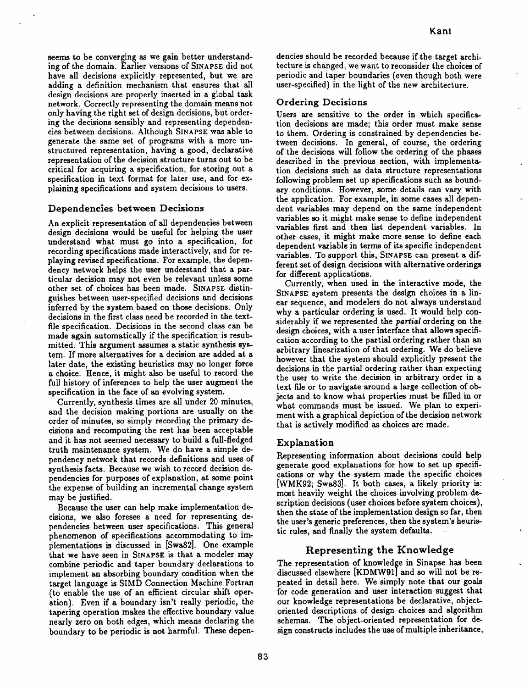seems to **be converging** as **we** gain better understand**ing of** the **domain.** Earlier **versions of** SINAPSE **did** not have all **decisions** explicitly **represented, but we** are adding a definition mechanism that ensures that all **design decisions** are properly inserted **in** a **global** task network. **Correctly representing** the **domain** means not **only** having the **right** set **of** design **decisions, but order**ing the **decisions** sensibly and representing **dependencies** between **decisions.** Although SINAPSE **was** able to **generate** the same set **of** programs with a **more** unstructured **representation,** having a **good, declarative** representation **of** the **decision** structure **turns out** to be critical **for** acquiring a specification, **for** storing **out** a specification **in** text **format for later** use, and **for** explaining specifications and system **decisions** to users.

# **Dependencies between Decisions**

An explicit **representation of** all **dependencies** between **design decisions** would be useful **for** helping the **user** understand what **must go into** a specification, for **recording** specifications made **interactively, and for re**playing **revised** specifications. **For** example, the **dependency** network helps the **user** understand that a particular **decision may** not even be **relevant unless** some **other** set of choices has been made. SINAPSE distin**guishes** between user-specified **decisions** and **decisions inferred** by the system based **on** those **decisions.** Only **decisions** in the **first** class need be **recorded** in the textfile specification. **Decisions** in the second **class** can be made again automatically if the specification **is resub**mitted. **This** argument assumes a static synthesis **sys**tem. If more alternatives for **a decision** are **added** at a **later date,** the **existing** heuristics may no **longer force** a **choice. Hence,** it might also **be** useful to **record** the **full** history **of** inferences to help the user augment the specification in the **face of** an evolving system.

**Currently,** synthesis times are all under **20** minutes, and the **decision** making portions are usually **on** the **order of minutes,** so simply **recording** the primary **decisions** and **recomputing** the **rest** has been acceptable and it has not seemed necessary to build a **fuU-fledged** truth maintenance system. **We do** have a simple **de**pendency network that **records definitions** and uses **of** synthesis **facts.** Because we wish to **record decision de**pendencies **for** purposes **of** explanation, at some point the **expense of** building an **incremental** change system **may be** justified.

Because the **user can** help make implementation **decisions,** we also **foresee** a need **for representing de**pendencies between user specifications. **This general** phenomenon **of** specifications accommodating to **im**plementations **is discussed** in [Swa82]. One example that we have seen **in** SINAPSE is that a modeler may **combine** periodic and taper boundary **declarations** to implement an absorbing **boundary** condition when the target **language** is SIMD Connection Machine Fortran **(to enable** the use **of** an efficient **circular** shift **oper**ation). Even if a boundary isn't **really** periodic, the tapering operation makes the effective **boundary value** nearly zero **on** both edges, which means **declaring** the boundary to be periodic is not harmful. **These depen-** **dencies** should **be recorded because if the** target architecture is **changed,** we want to **reconsider** the **choices of** periodic and taper **boundaries** (even though **both** were user-specified) in the **light** of the new architecture.

#### Ordering **Decisions**

Users are sensitive to the **order** in which specification **decisions** are made; this **order must make** sense to them. Ordering **is constrained by dependencies be**tween **decisions.** In **general, of course,** the **ordering** of the **decisions** will **follow** the **ordering of** the phases **described** in the previous section, with implementation **decisions** such as **data structure representations following** problem set **up** specifications such as **bound**ary **conditions. However,** some **details** can **vary** with the application. For **example, in** some cases all **depen**dent variables may **depend on** the **same independent variables** so it **might** make sense to **define independent variables first** and then **list dependent variables.** In **other cases,** it **might make more** sense to **define** each **dependent variable in** terms **of its** specific independent **variables. To** support this, SINAPSE can present a **different** set of **design decisions** with alternative **orderings for different** applications.

**Currently,** when used **in** the interactive mode, the SINAPSE system presents the **design choices in** a linear sequence, and modelers **do** not always understand why a particular **ordering** is used. It **would** help considerably if we **represented** the partial **ordering on** the design **choices,** with a **user** interface that allows specification according to the partial **ordering rather** than an arbitrary **linearization of** that **ordering. We** do believe however that the system should explicitly present the **decisions in** the partial **ordering rather** than expecting the user to write the **decision in** arbitrary **order** in a text **file or** to navigate around a **large collection of ob**jects and to know what properties **must** be **filled** in **or** what **commands** must be issued. **We** plan to experiment with a **graphical depiction of** the **decision** network that is actively modified as **choices** are made.

## Explanation

**Representing** information about **decisions could** help **generate good** explanations **for** how to set up specifi**cations or** why the system made the specific **choices** [WMK92; SwaB3]. **It** both **cases,** a likely priority is: most heavily weight the **choices** involving problem **de**scription **decisions** (user **choices before** system **choices),** then the state **of** the implementation **design** so **far,** then the user's **generic** preferences, then the system's heuristic **rules,** and **finally** the system **defaults.**

# **Representing the Knowledge**

**The representation of** knowledge in Sinapse has been **discussed** elsewhere [KDMW91] and so **will** not **be re**peated **in detail** here. **We** simply note that **our goals for code generation** and user interaction suggest that **our** knowledge **representations** be **declarative, objectoriented descriptions of design choices** and algorithm schemas. **The object-oriented representation for de**sign **constructs** includes the use **of** multiple inheritance,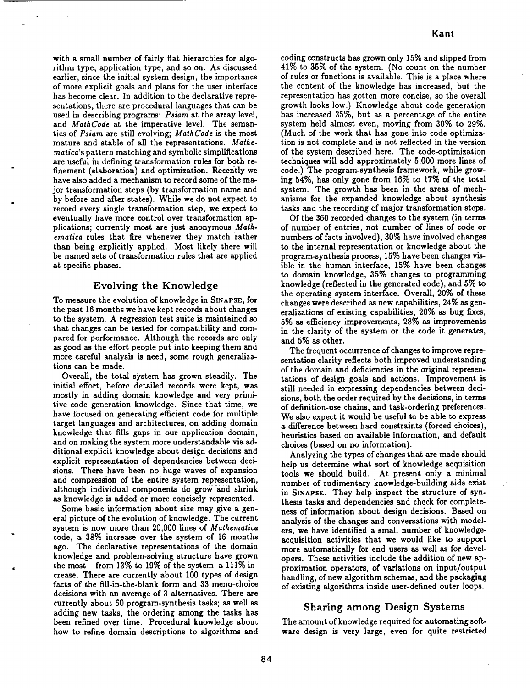with a small number of fairly flat hierarchies for algo**rithm** type,**application**type,**and** so on. As discussed earlier, since the initial system design, the importance of **more** explicitgoals **and** plans for the user interface has become clear. In addition to the declarative representations,there **are** procedural languages that **can** be used in describingprograms: **Psiam at** the **array**level, and MathCode at the imperative level. The semanticsof **Psiam** are **stillevolving;MathCode** isthe most mature and stable of all the representations. Mathematica'spattern matching **and** symbolic **simplifications** are useful in defining transformation rules for both refinement (elaboration) and optimization. Recently we have **alsoadded a** mechanism to record**some** of the major transformation steps (by transformation name and by beforeand **after**states).**While we do** not **expect** to record every single transformation step, we expect to **eventually**have **more control**over transformation**ap**plications;**currently**most **are** just anonymous Math. ema\_ica **rules** that **firewhenever** they match **rather** than being explicitly applied. Most likely there will be named sets of transformation rules that are applied at specific phases.

# **Evolving the Knowledge**

To measure the **evolution**ofknowledge **in** SINAPSE, **for** the past 16 months we have kept records**about changes** to the system. A regression test suite is maintained so that **changes can** be tested**forcompatibilityand com**pared for performance. Although the **recordsare** only **as** good **as** the **effort**people put **into**keeping them **and** more careful analysis is need, some rough generalizations**can** be made.

Overall, the total system has grown steadily. The initial**effort,**before detailed**records were** kept, **was** mostly in **adding** domain knowledge **and** very primitive**code** generation knowledge. Since that time, we have **focused** on generatingefficient**code for** multiple **target**languages and **architectures,**on adding domain knowledge that **fills**gaps **in** our **application**domain, and on making the system more understandable viaadditional**explicit**knowledge **about** design decisionsand explicit**representation**of dependencies between decisions. There have been no huge waves of **expansion** and compression of the entire system representation, although individual**components** do **grow and** shrink as knowledge **is added** or more **conciselyrepresented.**

Some basicinformation **about size**may give **a general**pictureof the **evolution**of knowledge. The **current** system is now more than 20,000 lines of *Mathematica* code, a  $38\%$  increase over the system of 16 months **ago.** The declarative**representations**of the domain knowledge and problem-solving structure have grown the **most** - **from** 13% to 19% of the system, **a** 111% in**crease.**There **are currentlyabout** 100 types of design facts of the fill-in-the-blank form and 33 menu-choice decisionswith an **average** of **3** alternatives.There are **currentlyabout** 60 program-synthesis tasks;as **wellas** adding new tasks, the ordering among the tasks has been refined over time. Procedural knowledge about how to refine domain descriptions to algorithms and **coding constructs**has **grown** only 15% **and slipped**from **41%** to **35%** of the system. (No **count** on the number of rulesor **functionsisavailable.**This isa place**where** the content of the knowledge has increased, but the representationhas **gotten more concise,**so the overall **growth** lookslow.) Knowledge **about code generation** has increased**35%,** but as **a** percentage of the **entire** system held **almost even, moving from 30%** to **29%.** (Much of the work that has gone **into code** optimization**is**not **complete and** is not **reflected**in the version of the system described here. The **code-optimization** techniques**willadd approximately 5,000 more** linesof **code.)**The program-synthesis **framework, while** grow**ing 54%,** has only **gone** from 16% to 17% of the total system. The growth has been **in** the **areas** of mech**anisms for** the expanded knowledge **about** synthesis tasks and the recording of major transformation steps.

Of the **360 recorded changes** to the system (interms of number of **entries,**not number of linesof **code** or numbers of factsinvolved),**30%** have involved**changes** to the **internalrepresentation**or knowledge **about** the program-synthesisprocess,15% have been **changes** visible in the human interface, 15% have been changes to domain knowledge, **35% changes** to programming knowledge (reflectedin the **generated code),and 5%** to the operating system interface. Overall, 20% of these **changes were** describedas new **capabilities,24%** as gen**eralizations**of existing**capabilities,20%** as bug **fixes, 5% as efficiency**improvements, **28%** as improvements in the **clarity**of the **system** or the **code** it**generates, and 5%** as other.

The frequent occurrence of changes to improve representation**clarityreflects**both improved understanding of the domain and deficiencies in the original representations of design **goals and actions.** Improvement is still needed in expressing dependencies between decisions, both the order required by the decisions, in terms of definition-use chains, and task-ordering preferences. We also**expect**it**would** be usefulto be **able**to **express** a differencebetween hard **constraints**(forced**choices),** heuristicsbased on **availableinformation,**and default **choices**(based on no **information).**

Analyzing the types of**changes** that are **made should** help us determine **what** sort of knowledge **acquisition** tools **we** should build. At present only **a** minimal number of rudimentary knowledge-building **aids exist** in SINAPSE. They help inspect the structure of synthesistasks**and** dependencies **and check forcomplete**hess of **information about** design decisions.Based on analysisof the **changes** and **conversationswith** model**ers,we** have identified**a** small number of knowledge**acquisitionactivities**that **we** would liketo **support** more **automaticallyfor end** users as **well**as **for** developers.These **activities**includethe **addition**of new **ap**proximation operators, of variations on input/output handling,of new **algorithm** schemas, and the packaging of existing algorithms inside user-defined outer loops.

# Sharing **among Design** Systems

The amount of knowledge required for automating soft**ware** design is very large,**even for** quite **restricted**